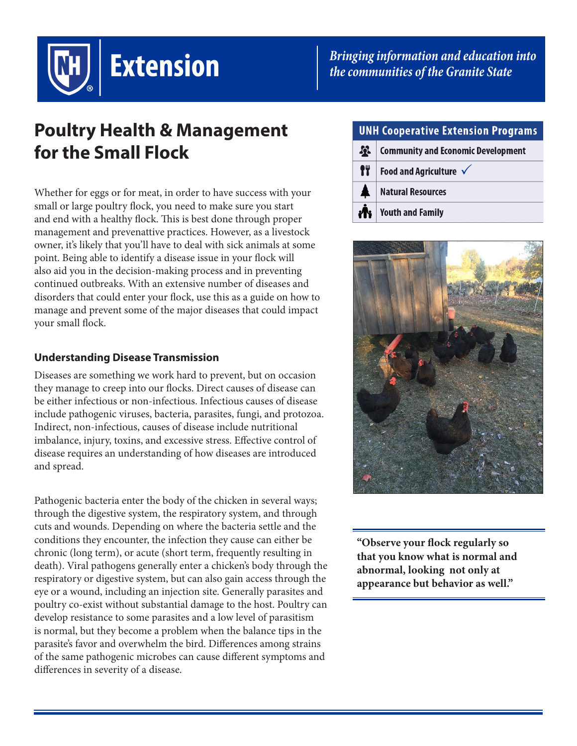

*Bringing information and education into the communities of the Granite State*

# **Poultry Health & Management for the Small Flock**

Whether for eggs or for meat, in order to have success with your small or large poultry flock, you need to make sure you start and end with a healthy flock. This is best done through proper management and prevenattive practices. However, as a livestock owner, it's likely that you'll have to deal with sick animals at some point. Being able to identify a disease issue in your flock will also aid you in the decision-making process and in preventing continued outbreaks. With an extensive number of diseases and disorders that could enter your flock, use this as a guide on how to manage and prevent some of the major diseases that could impact your small flock.

# **Understanding Disease Transmission**

Diseases are something we work hard to prevent, but on occasion they manage to creep into our flocks. Direct causes of disease can be either infectious or non-infectious. Infectious causes of disease include pathogenic viruses, bacteria, parasites, fungi, and protozoa. Indirect, non-infectious, causes of disease include nutritional imbalance, injury, toxins, and excessive stress. Effective control of disease requires an understanding of how diseases are introduced and spread.

Pathogenic bacteria enter the body of the chicken in several ways; through the digestive system, the respiratory system, and through cuts and wounds. Depending on where the bacteria settle and the conditions they encounter, the infection they cause can either be chronic (long term), or acute (short term, frequently resulting in death). Viral pathogens generally enter a chicken's body through the respiratory or digestive system, but can also gain access through the eye or a wound, including an injection site. Generally parasites and poultry co-exist without substantial damage to the host. Poultry can develop resistance to some parasites and a low level of parasitism is normal, but they become a problem when the balance tips in the parasite's favor and overwhelm the bird. Differences among strains of the same pathogenic microbes can cause different symptoms and differences in severity of a disease.

# **UNH Cooperative Extension Programs**

 $\mathbf{R}$ **Community and Economic Development** IT. Food and Agriculture  $\checkmark$ **Natural Resources Youth and Family** 



**"Observe your flock regularly so that you know what is normal and abnormal, looking not only at appearance but behavior as well."**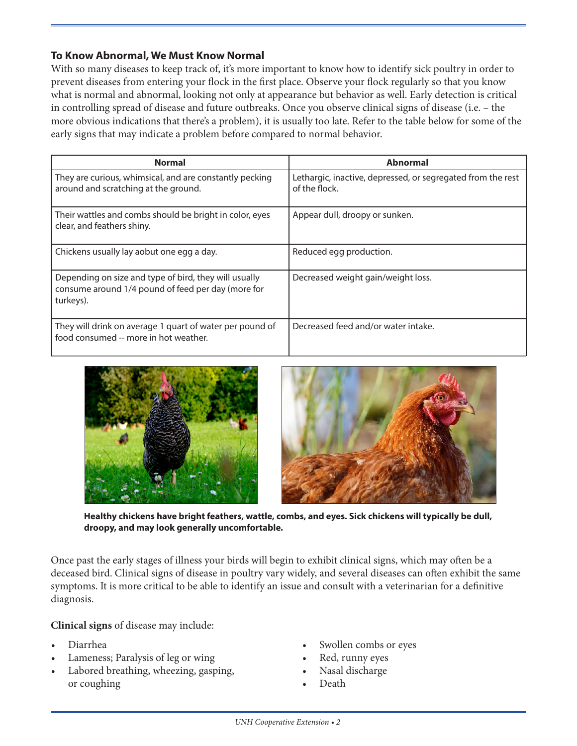### **To Know Abnormal, We Must Know Normal**

With so many diseases to keep track of, it's more important to know how to identify sick poultry in order to prevent diseases from entering your flock in the first place. Observe your flock regularly so that you know what is normal and abnormal, looking not only at appearance but behavior as well. Early detection is critical in controlling spread of disease and future outbreaks. Once you observe clinical signs of disease (i.e. – the more obvious indications that there's a problem), it is usually too late. Refer to the table below for some of the early signs that may indicate a problem before compared to normal behavior.

| <b>Normal</b>                                                                                                            | <b>Abnormal</b>                                                              |
|--------------------------------------------------------------------------------------------------------------------------|------------------------------------------------------------------------------|
| They are curious, whimsical, and are constantly pecking<br>around and scratching at the ground.                          | Lethargic, inactive, depressed, or segregated from the rest<br>of the flock. |
| Their wattles and combs should be bright in color, eyes<br>clear, and feathers shiny.                                    | Appear dull, droopy or sunken.                                               |
| Chickens usually lay aobut one egg a day.                                                                                | Reduced egg production.                                                      |
| Depending on size and type of bird, they will usually<br>consume around 1/4 pound of feed per day (more for<br>turkeys). | Decreased weight gain/weight loss.                                           |
| They will drink on average 1 quart of water per pound of<br>food consumed -- more in hot weather.                        | Decreased feed and/or water intake.                                          |





**Healthy chickens have bright feathers, wattle, combs, and eyes. Sick chickens will typically be dull, droopy, and may look generally uncomfortable.**

Once past the early stages of illness your birds will begin to exhibit clinical signs, which may often be a deceased bird. Clinical signs of disease in poultry vary widely, and several diseases can often exhibit the same symptoms. It is more critical to be able to identify an issue and consult with a veterinarian for a definitive diagnosis.

**Clinical signs** of disease may include:

- Diarrhea
- Lameness; Paralysis of leg or wing
- Labored breathing, wheezing, gasping, or coughing
- Swollen combs or eyes
- Red, runny eyes
- Nasal discharge
- Death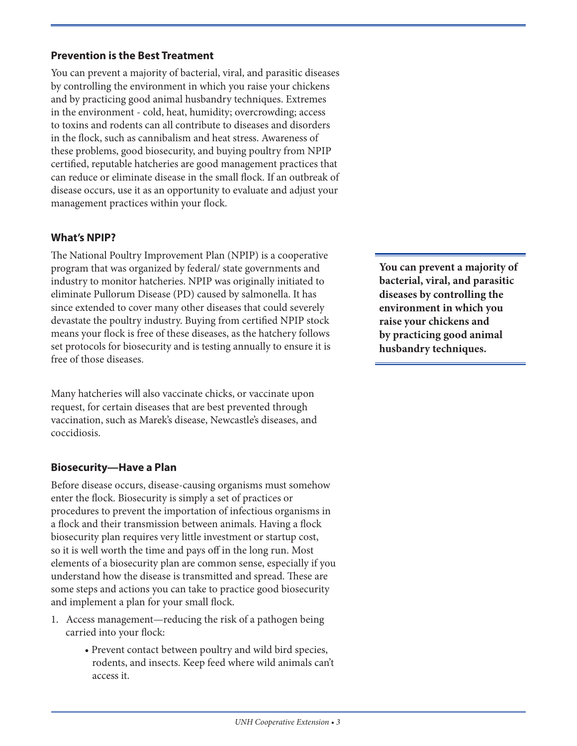# **Prevention is the Best Treatment**

You can prevent a majority of bacterial, viral, and parasitic diseases by controlling the environment in which you raise your chickens and by practicing good animal husbandry techniques. Extremes in the environment - cold, heat, humidity; overcrowding; access to toxins and rodents can all contribute to diseases and disorders in the flock, such as cannibalism and heat stress. Awareness of these problems, good biosecurity, and buying poultry from NPIP certified, reputable hatcheries are good management practices that can reduce or eliminate disease in the small flock. If an outbreak of disease occurs, use it as an opportunity to evaluate and adjust your management practices within your flock.

# **What's NPIP?**

The National Poultry Improvement Plan (NPIP) is a cooperative program that was organized by federal/ state governments and industry to monitor hatcheries. NPIP was originally initiated to eliminate Pullorum Disease (PD) caused by salmonella. It has since extended to cover many other diseases that could severely devastate the poultry industry. Buying from certified NPIP stock means your flock is free of these diseases, as the hatchery follows set protocols for biosecurity and is testing annually to ensure it is free of those diseases.

Many hatcheries will also vaccinate chicks, or vaccinate upon request, for certain diseases that are best prevented through vaccination, such as Marek's disease, Newcastle's diseases, and coccidiosis.

# **Biosecurity—Have a Plan**

Before disease occurs, disease-causing organisms must somehow enter the flock. Biosecurity is simply a set of practices or procedures to prevent the importation of infectious organisms in a flock and their transmission between animals. Having a flock biosecurity plan requires very little investment or startup cost, so it is well worth the time and pays off in the long run. Most elements of a biosecurity plan are common sense, especially if you understand how the disease is transmitted and spread. These are some steps and actions you can take to practice good biosecurity and implement a plan for your small flock.

- 1. Access management—reducing the risk of a pathogen being carried into your flock:
	- Prevent contact between poultry and wild bird species, rodents, and insects. Keep feed where wild animals can't access it.

**You can prevent a majority of bacterial, viral, and parasitic diseases by controlling the environment in which you raise your chickens and by practicing good animal husbandry techniques.**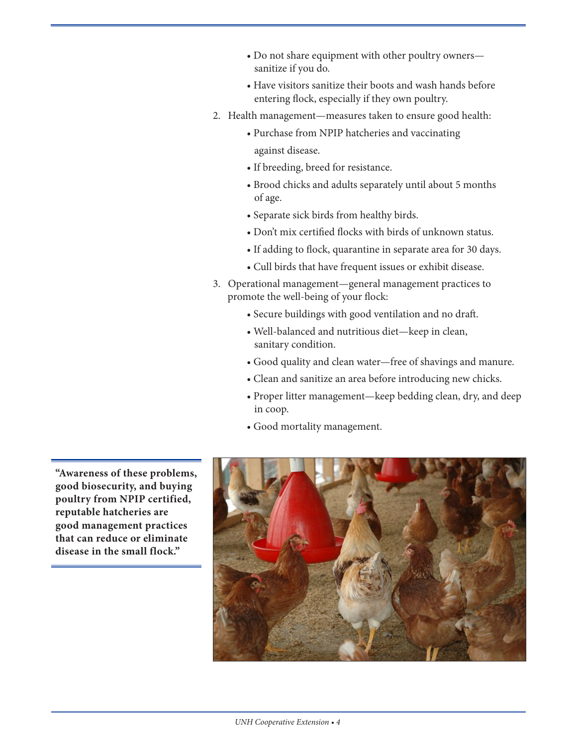- Do not share equipment with other poultry owners sanitize if you do.
- Have visitors sanitize their boots and wash hands before entering flock, especially if they own poultry.
- 2. Health management—measures taken to ensure good health:
	- Purchase from NPIP hatcheries and vaccinating against disease.
	- If breeding, breed for resistance.
	- Brood chicks and adults separately until about 5 months of age.
	- Separate sick birds from healthy birds.
	- Don't mix certified flocks with birds of unknown status.
	- If adding to flock, quarantine in separate area for 30 days.
	- Cull birds that have frequent issues or exhibit disease.
- 3. Operational management—general management practices to promote the well-being of your flock:
	- Secure buildings with good ventilation and no draft.
	- Well-balanced and nutritious diet—keep in clean, sanitary condition.
	- Good quality and clean water—free of shavings and manure.
	- Clean and sanitize an area before introducing new chicks.
	- Proper litter management—keep bedding clean, dry, and deep in coop.
	- Good mortality management.

**"Awareness of these problems, good biosecurity, and buying poultry from NPIP certified, reputable hatcheries are good management practices that can reduce or eliminate disease in the small flock."**